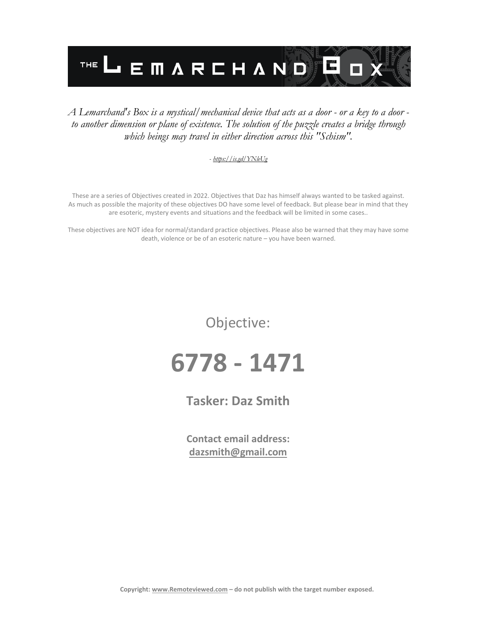

#### *A Lemarchand's Box is a mystical/mechanical device that acts as a door - or a key to a door to another dimension or plane of existence. The solution of the puzzle creates a bridge through which beings may travel in either direction across this "Schism".*

#### *- <https://is.gd/YNleUg>*

These are a series of Objectives created in 2022. Objectives that Daz has himself always wanted to be tasked against. As much as possible the majority of these objectives DO have some level of feedback. But please bear in mind that they are esoteric, mystery events and situations and the feedback will be limited in some cases..

These objectives are NOT idea for normal/standard practice objectives. Please also be warned that they may have some death, violence or be of an esoteric nature – you have been warned.

Objective:

## **6778 - 1471**

**Tasker: Daz Smith**

**Contact email address: [dazsmith@gmail.com](mailto:dazsmith@gmail.com)**